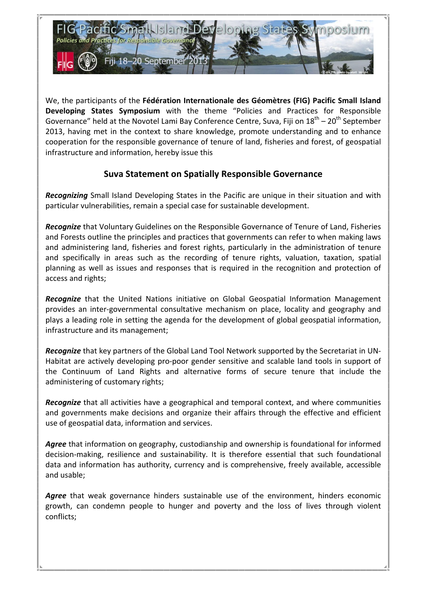

We, the participants of the Fédération Internationale des Géomètres (FIG) Pacific Small Island **Developing States Symposium** with the theme "Policies and Practices for Responsible Governance" held at the Novotel Lami Bay Conference Centre, Suva, Fiji on  $18^{th}$  –  $20^{th}$  September 2013, having met in the context to share knowledge, promote understanding and to enhance cooperation for the responsible governance of tenure of land, fisheries and forest, of geospatial infrastructure and information, hereby issue this

## **Suva Statement on Spatially Responsible Governance**

**Recognizing** Small Island Developing States in the Pacific are unique in their situation and with particular vulnerabilities, remain a special case for sustainable development.

**Recognize** that Voluntary Guidelines on the Responsible Governance of Tenure of Land, Fisheries and Forests outline the principles and practices that governments can refer to when making laws and administering land, fisheries and forest rights, particularly in the administration of tenure and specifically in areas such as the recording of tenure rights, valuation, taxation, spatial planning as well as issues and responses that is required in the recognition and protection of access and rights;

**Recognize** that the United Nations initiative on Global Geospatial Information Management provides an inter-governmental consultative mechanism on place, locality and geography and plays a leading role in setting the agenda for the development of global geospatial information, infrastructure and its management;

**Recognize** that key partners of the Global Land Tool Network supported by the Secretariat in UN-Habitat are actively developing pro-poor gender sensitive and scalable land tools in support of the Continuum of Land Rights and alternative forms of secure tenure that include the administering of customary rights;

**Recognize** that all activities have a geographical and temporal context, and where communities and governments make decisions and organize their affairs through the effective and efficient use of geospatial data, information and services.

Agree that information on geography, custodianship and ownership is foundational for informed decision-making, resilience and sustainability. It is therefore essential that such foundational data and information has authority, currency and is comprehensive, freely available, accessible and usable;

**Agree** that weak governance hinders sustainable use of the environment, hinders economic growth, can condemn people to hunger and poverty and the loss of lives through violent conflicts;